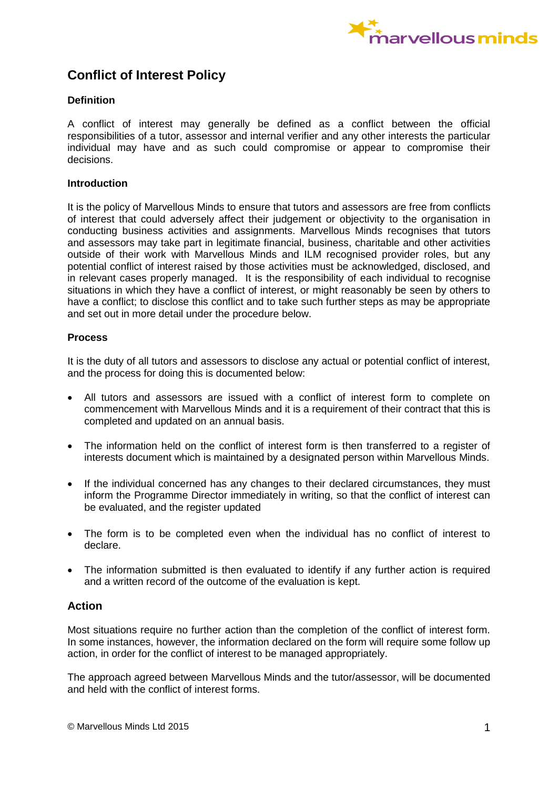

# **Conflict of Interest Policy**

## **Definition**

A conflict of interest may generally be defined as a conflict between the official responsibilities of a tutor, assessor and internal verifier and any other interests the particular individual may have and as such could compromise or appear to compromise their decisions.

#### **Introduction**

It is the policy of Marvellous Minds to ensure that tutors and assessors are free from conflicts of interest that could adversely affect their judgement or objectivity to the organisation in conducting business activities and assignments. Marvellous Minds recognises that tutors and assessors may take part in legitimate financial, business, charitable and other activities outside of their work with Marvellous Minds and ILM recognised provider roles, but any potential conflict of interest raised by those activities must be acknowledged, disclosed, and in relevant cases properly managed. It is the responsibility of each individual to recognise situations in which they have a conflict of interest, or might reasonably be seen by others to have a conflict; to disclose this conflict and to take such further steps as may be appropriate and set out in more detail under the procedure below.

## **Process**

It is the duty of all tutors and assessors to disclose any actual or potential conflict of interest, and the process for doing this is documented below:

- All tutors and assessors are issued with a conflict of interest form to complete on commencement with Marvellous Minds and it is a requirement of their contract that this is completed and updated on an annual basis.
- The information held on the conflict of interest form is then transferred to a register of interests document which is maintained by a designated person within Marvellous Minds.
- If the individual concerned has any changes to their declared circumstances, they must inform the Programme Director immediately in writing, so that the conflict of interest can be evaluated, and the register updated
- The form is to be completed even when the individual has no conflict of interest to declare.
- The information submitted is then evaluated to identify if any further action is required and a written record of the outcome of the evaluation is kept.

# **Action**

Most situations require no further action than the completion of the conflict of interest form. In some instances, however, the information declared on the form will require some follow up action, in order for the conflict of interest to be managed appropriately.

The approach agreed between Marvellous Minds and the tutor/assessor, will be documented and held with the conflict of interest forms.